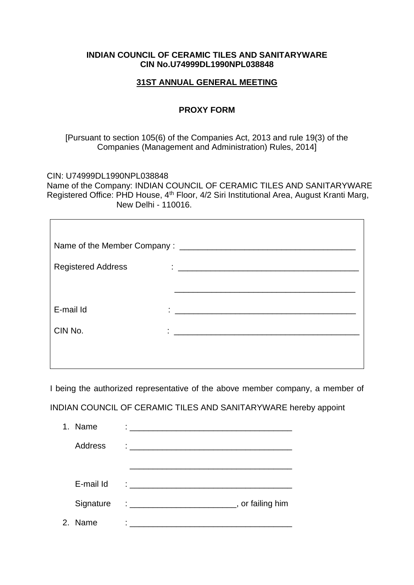## **INDIAN COUNCIL OF CERAMIC TILES AND SANITARYWARE CIN No.U74999DL1990NPL038848**

## **31ST ANNUAL GENERAL MEETING**

## **PROXY FORM**

## [Pursuant to section 105(6) of the Companies Act, 2013 and rule 19(3) of the Companies (Management and Administration) Rules, 2014]

CIN: U74999DL1990NPL038848

Name of the Company: INDIAN COUNCIL OF CERAMIC TILES AND SANITARYWARE Registered Office: PHD House, 4th Floor, 4/2 Siri Institutional Area, August Kranti Marg, New Delhi - 110016.

| <b>Registered Address</b> |                                               |
|---------------------------|-----------------------------------------------|
|                           |                                               |
| E-mail Id                 | <u> 1980 - Andrea Andrew Maria (h. 1980).</u> |
| CIN No.                   |                                               |
|                           |                                               |
|                           |                                               |

I being the authorized representative of the above member company, a member of

INDIAN COUNCIL OF CERAMIC TILES AND SANITARYWARE hereby appoint

| 1. Name        | $\mathcal{L}_{\text{max}}$ . The contract of the contract of the contract of the contract of the contract of the contract of the contract of the contract of the contract of the contract of the contract of the contract of the contract |                  |
|----------------|-------------------------------------------------------------------------------------------------------------------------------------------------------------------------------------------------------------------------------------------|------------------|
| <b>Address</b> | $\ddot{\cdot}$ . The contract of the contract of the contract of the contract of the contract of the contract of the contract of the contract of the contract of the contract of the contract of the contract of the contract of th       |                  |
|                |                                                                                                                                                                                                                                           |                  |
| E-mail Id      | $\ddot{\cdot}$ , and the contract of the contract of the contract of the contract of the contract of the contract of the contract of the contract of the contract of the contract of the contract of the contract of the contract o       |                  |
| Signature      |                                                                                                                                                                                                                                           | , or failing him |
| 2. Name        |                                                                                                                                                                                                                                           |                  |